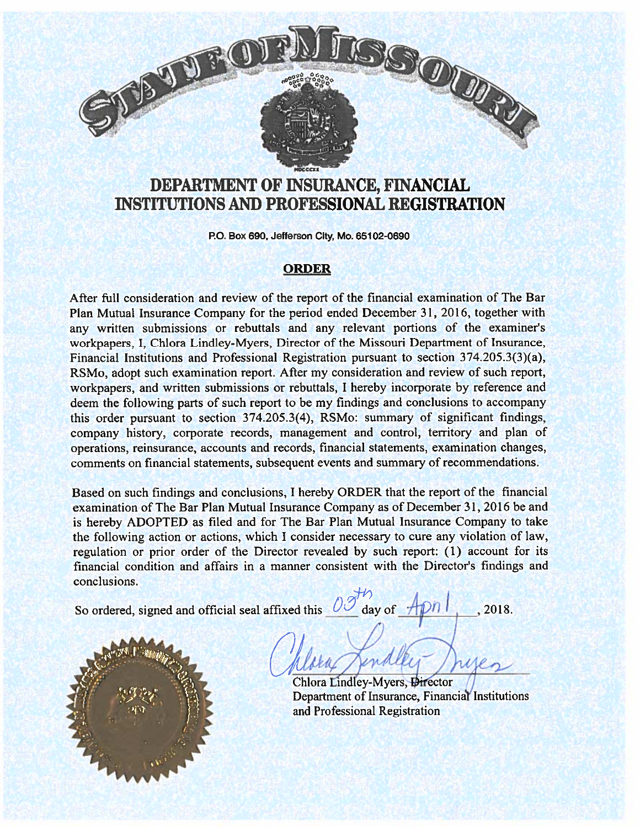# SSOUR

# DEPARTMENT OF iNSURANCE, FINANCIAL INSTITUTIONS AND PROFESSIONAL REGISTRATION

MDCCCXX

P0. Box 690, Jefferson City, Mo. 65102-0690

# **ORDER**

After fill consideration and review of the repor<sup>t</sup> of the financial examination of The Bar Plan Mutual Insurance Company for the period ended December 31, 2016, together with any written submissions or rebuttals and any relevant portions of the examiner's workpapers, I, Chlora Lindley-Myers, Director of the Missouri Department of Insurance, Financial Institutions and Professional Registration pursuant to section 374.205.3(3)(a), RSMo, adopt such examination report. After my consideration and review of such report, workpapers, and written submissions or rebuttals, <sup>I</sup> hereby incorporate by reference and deem the following parts of such repor<sup>t</sup> to be my findings and conclusions to accompany this order pursuan<sup>t</sup> to section 374.205.3(4), RSMo: summary of significant findings, company history, corporate records, managemen<sup>t</sup> and control, territory and <sup>p</sup>lan of operations, reinsurance, accounts and records, financial statements, examination changes, comments on financial statements, subsequent events and summary of recommendations.

Based on such findings and conclusions, <sup>I</sup> hereby ORDER that the repor<sup>t</sup> of the financial examination of The Bar Plan Mutual Insurance Company as of December 31, 2016 be and is hereby ADOPTED as filed and for The Bar Plan Mutual Insurance Company to take the following action or actions, which <sup>I</sup> consider necessary to cure any violation of law, regulation or prior order of the Director revealed by such report: (1) account for its financial condition and affairs in <sup>a</sup> manner consistent with the Director's findings and conclusions.

So ordered, signed and official seal affixed this  $\frac{0.0000000000000000000000000}{\text{day of}}$ , 2018.



Chlora Lindley-Myers, Director Department of Insurance, Financial Institutions and Professional Registration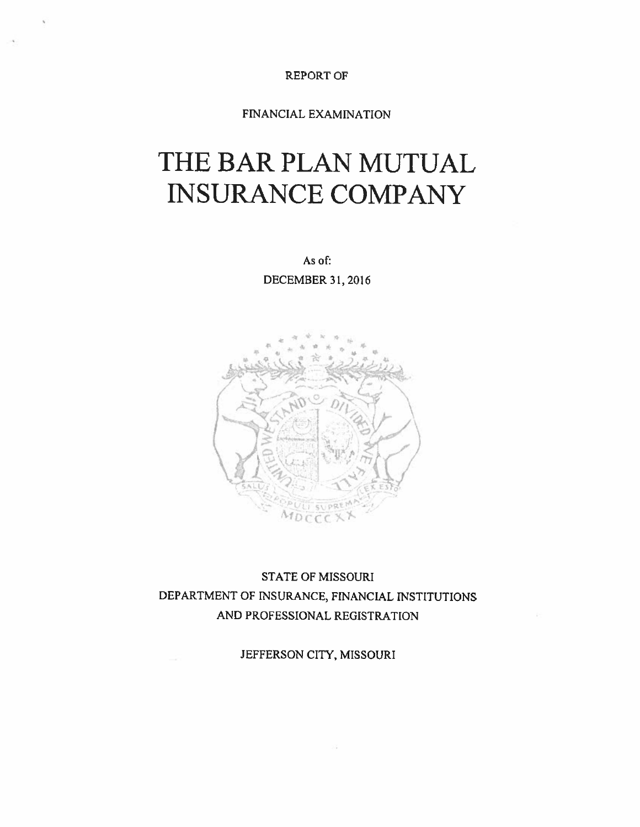REPORT OF

# FINANCIAL EXAMINATION

# THE BAR PLAN MUTUAL NSURANCE COMPANY

As of: DECEMBER 31, 2016



# STATE OF MISSOURI DEPARTMENT OF INSURANCE, FINANCIAL INSTITUTIONS AND PROFESSIONAL REGISTRATION

JEFFERSON CITY, MISSOURI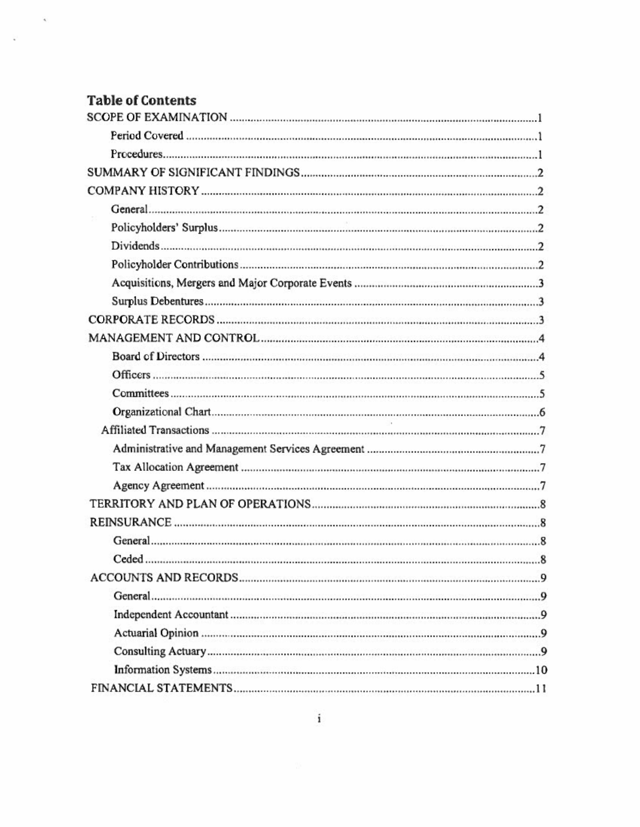# Table of Contents

 $\tilde{q}_j$ 

¥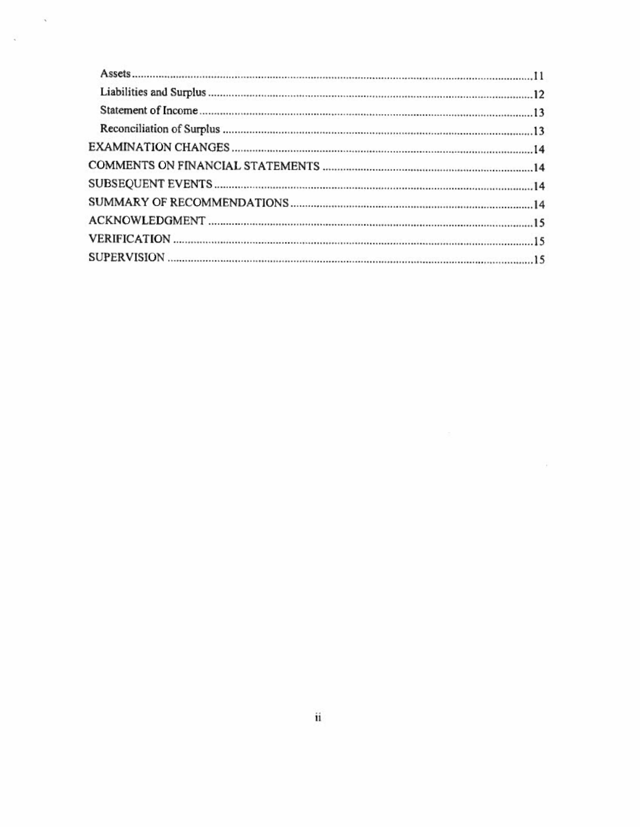$\mathcal{A}$ 

오

 $\widetilde{\mathcal{D}}$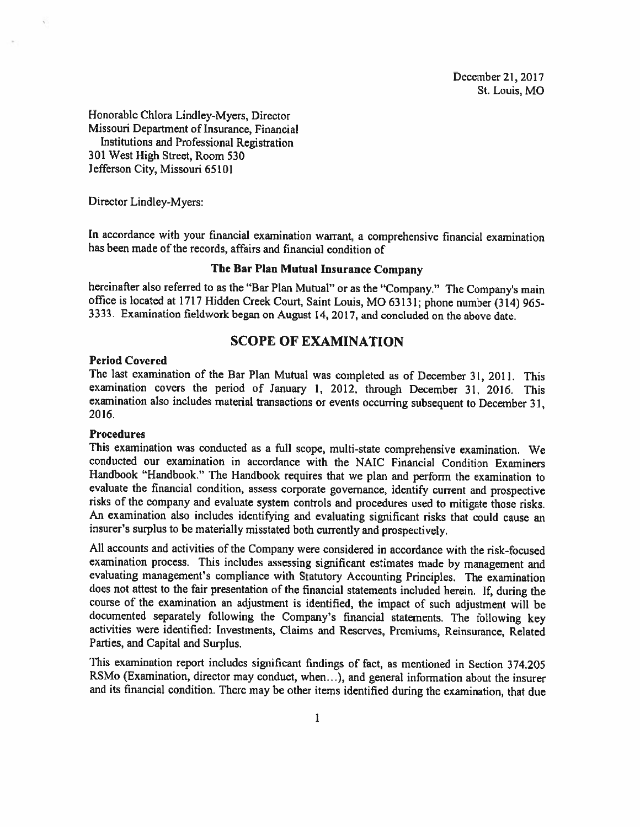December21, 2017 St. Louis, MO

Honorable Chlora Lindley-Myers, Director Missouri Department of Insurance, Financial Institutions and Professional Registration 301 West High Street, Room 530 Jefferson City, Missouri 65101

Director Lindley-Myers:

In accordance with your financial examination warrant, <sup>a</sup> comprehensive financial examination has been made of the records, affairs and financial condition of

#### The Bar Plan Mutual Insurance Company

hereinafter also referred to as the "Bar Plan Mutual" or as the "Company." The Company's main office is located at <sup>1717</sup> Hidden Creek Court, Saint Louis, MO 63131; <sup>p</sup>hone number (314) 965- 3333. Examination fieldwork began on August 14, 2017, and concluded on the above date.

# SCOPE OF EXAMINATION

## Period Covered

The last examination of the Bar Plan Mutual was completed as of December 31, 2011. This examination covers the period of January 1, 2012, through December 31, 2016. This examination also includes material transactions or events occurring subsequent to December 31, 2016.

#### Procedures

This examination was conducted as <sup>a</sup> fill scope, multi-state comprehensive examination. We conducted our examination in accordance with the NAIC Financial Condition Examiners Handbook "Handbook." The Handbook requires that we <sup>p</sup>lan and perform the examination to evaluate the financial condition, assess corporate governance, identify current and prospective risks of the company and evaluate system controls and procedures used to mitigate those risks. An examination also includes identifying and evaluating significant risks that could cause an insurer's surplus to be materially misstated both currently and prospectively.

All accounts and activities of the Company were considered in accordance with the risk-focused examination process. This includes assessing significant estimates made by management and evaluating management's compliance with Statutory Accounting Principles. The examination does not attest to the fair presentation of the financial statements included herein. If, during the course of the examination an adjustment is identified, the impact of such adjustment will be documented separately following the Company's financial statements. The following key activities were identified: Investments, Claims and Reserves, Premiums, Reinsurance, Related Parties, and Capital and Surplus.

This examination report includes significant findings of fact, as mentioned in Section 374.205 RSMo (Examination, director may conduct, when...), and general information about the insurer and its financial condition. There may be other items identified during the examination, that due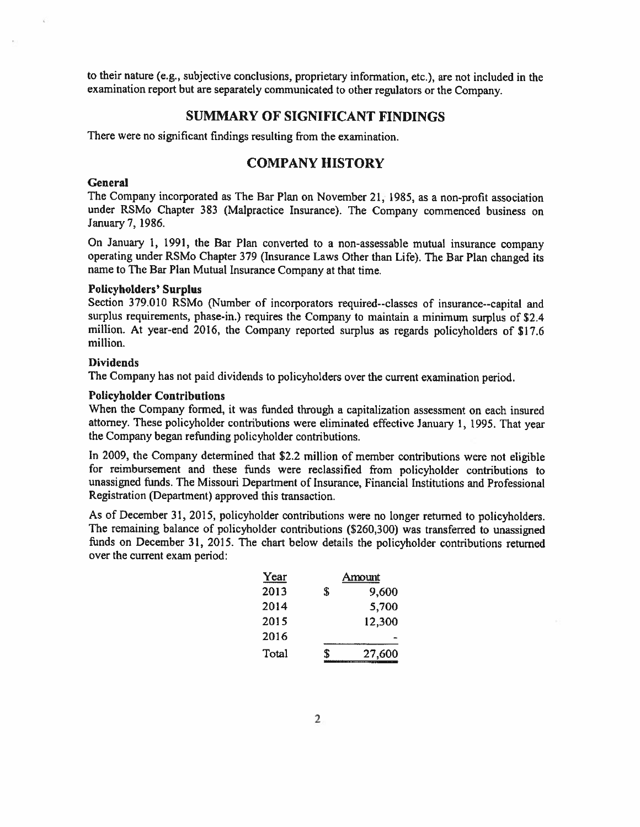to their nature (e.g., subjective conclusions, proprietary information, etc.), are not included in the examination report but are separately communicated to other regulators or the Company.

# SUMMARY OF SIGNIFICANT FINDINGS

There were no significant findings resulting from the examination.

# COMPANY HISTORY

#### **General**

The Company incorporated as The Bar Plan on November 21, 1985, as <sup>a</sup> non-profit association under RSMo Chapter <sup>383</sup> (Malpractice Insurance). The Company commenced business on January 7, 1986.

On January 1, 1991, the Bar Plan converted to <sup>a</sup> non-assessable mutual insurance company operating under RSMo Chapter <sup>379</sup> (Insurance Laws Other than Life). The Bar Plan changed its name to The Bar Plan Mutual Insurance Company at that time.

#### Policyholders' Surplus

Section 379.010 RSMo (Number of incorporators required--classes of insurance--capital and surplus requirements, <sup>p</sup>hase-in.) requires the Company to maintain <sup>a</sup> minimum surplus of \$2.4 million. At year-end 2016, the Company reported surplus as regards policyholders of \$17.6 million,

### Dividends

The Company has not paid dividends to policyholders over the current examination period.

# Policyholder Contributions

When the Company formed, it was funded through <sup>a</sup> capitalization assessment on each insured attorney. These policyholder contributions were eliminated effective January 1, 1995. That year the Company began refunding policyholder contributions.

In 2009, the Company determined that \$2.2 million of member contributions were not eligible for reimbursement and these funds were reclassified from policyholder contributions to unassigned hinds. The Missouri Department of Insurance, Financial Institutions and Professional Registration (Department) approved this transaction.

As of December 31, 2015, policyholder contributions were no longer returned to policyholders. The remaining balance of policyholder contributions (\$260,300) was transferred to unassigned funds on December 31, 2015. The chart below details the policyholder contributions returned over the current exam period:

| Year  |    | Amount |
|-------|----|--------|
| 2013  | \$ | 9,600  |
| 2014  |    | 5,700  |
| 2015  |    | 12,300 |
| 2016  |    |        |
| Total | S  | 27,600 |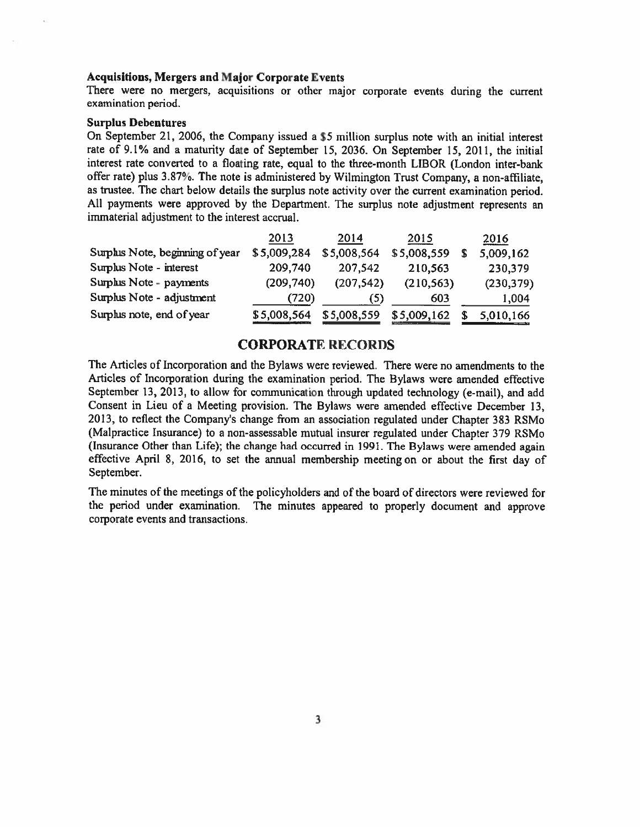#### Acquisitions, Mergers and Major Corporate Events

There were no mergers, acquisitions or other major corporate events during the current examination period.

#### Surplus Debentures

On September 21, 2006, the Company issued <sup>a</sup> \$5 million surplus note with an initial interest rate of 9.1% and <sup>a</sup> maturity date of September 15, 2036. On September 15, 2011, the initial interest rate converted to <sup>a</sup> floating rate, equal to the three-month LIBOR (London inter-bank offer rate) <sup>p</sup>lus 3.87%. The note is administered by Wilmington Trust Company, <sup>a</sup> non-affiliate, as trustee. The chart below details the surplus note activity over the current examination period. All payments were approve<sup>d</sup> by the Department. The surplus note adjustment represents an immaterial adjustment to the interest accrual.

|                                 | 2013        | 2014        | 2015        | 2016       |
|---------------------------------|-------------|-------------|-------------|------------|
| Surphis Note, beginning of year | \$5,009,284 | \$5,008,564 | \$5,008,559 | 5,009,162  |
| Surplus Note - interest         | 209,740     | 207,542     | 210,563     | 230,379    |
| Surphis Note - payments         | (209, 740)  | (207, 542)  | (210, 563)  | (230, 379) |
| Surplus Note - adjustment       | (720)       | (5)         | 603         | 1,004      |
| Surplus note, end of year       | \$5,008,564 | \$5,008,559 | \$5,009,162 | 5,010,166  |

# CORPORATE RECORDS

The Articles of Incorporation and the Bylaws were reviewed. There were no amendments to the Articles of Incorporation during the examination period. The Bylaws were amended effective September 13, 2013, to allow for communication through updated technology (e-mail), and add Consent in Lieu of <sup>a</sup> Meeting provision. The Bylaws were amended effective December 13, 2013, to reflect the Company's change from an association regulated under Chapter 383 RSMo (Malpractice Insurance) to <sup>a</sup> non-assessable mutual insurer regulated under Chapter 379 RSMo (Insurance Other than Life); the change had occurred in 1991. The Bylaws were amended again effective April 8, 2016, to set the annual membership meeting on or about the first day of September.

The minutes of the meetings of the policyholders and of the board of directors were reviewed for the period under examination. The minutes appeare<sup>d</sup> to properly document and approve corporate events and transactions.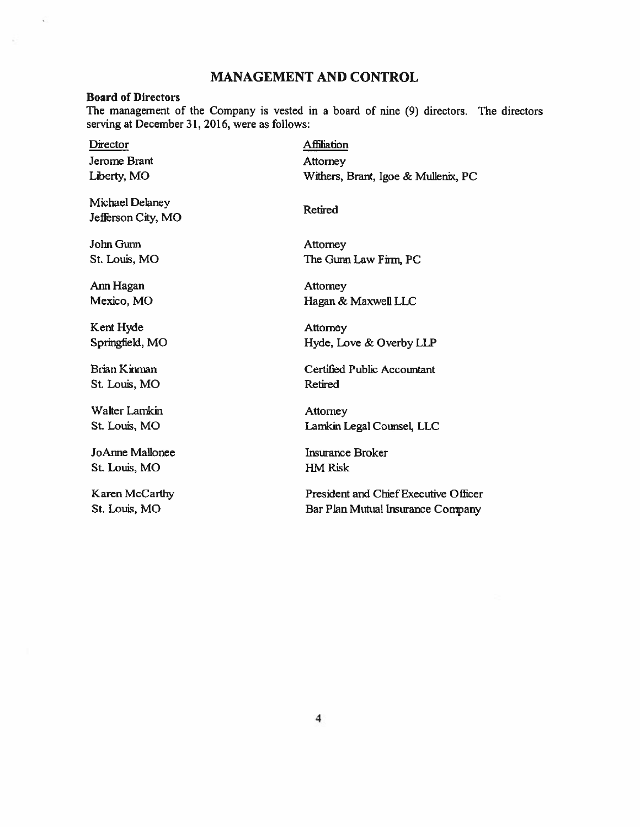# MANAGEMENT AND CONTROL

#### Board of Directors

The managemen<sup>t</sup> of the Company is vested in <sup>a</sup> board of nine (9) directors. The directors serving at December 31, 2016, were as follows:

Director Affiliation Jerome Brant Attorney

Michael Delaney Retired Jefferson City, MO

John Gunn Attorney

Ann Hagan **Attorney** 

Kent Hyde Attorney

St. Louis, MO Retired

Walter Lamkin Attorney

JoAnne Mallonee historic historic Broker historic Broker St. Louis, MO HM Risk

Liberty, MO Withers, Brant. Igoe & Mullenix, PC

St. Louis, MO The Gunn Law Firm, PC

Mexico, MO Hagan & Maxwell LLC

Springfield, MO Hyde, Love & Overby LLP

Brian Kinman Certified Public Accountant

St. Louis, MO Lamkin Legal Counsel, LLC

Karen McCarthy President and Chief Executive Officer St. Louis, MO Bar Plan Mutual Insurance Company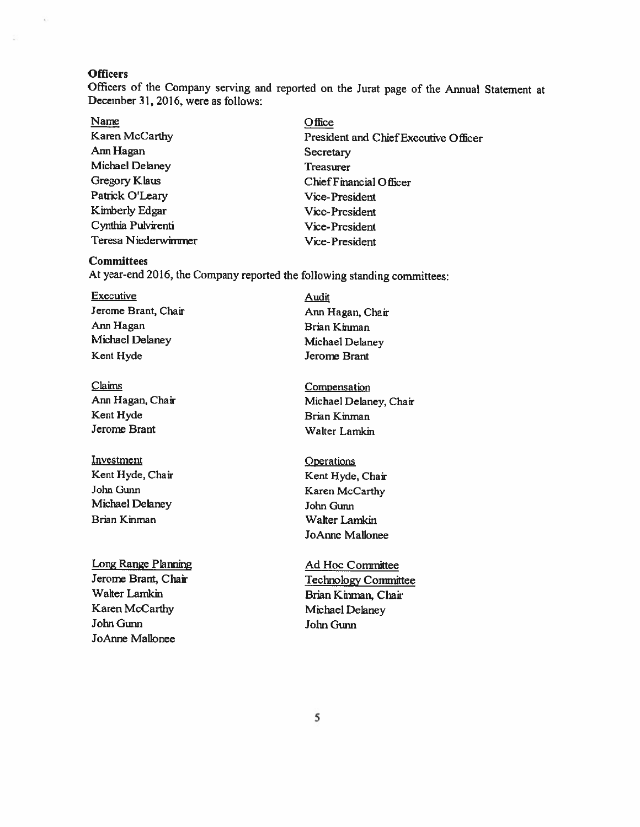#### **Officers**

Officers of the Company serving and reported on the Jurat page of the Annual Statement at December 31, 2016, were as follows:

- Name **Office** Ann Hagan Secretary Michael Delaney Treasurer Patrick O'Leary Vice-President Kimberly Edgar Vice-President Cynthia Pulvirenti Vice-President
- Karen McCarthy **President and Chief Executive Officer** Gregory Klaus Chief Financial Officer Teresa Niederwimmer Vice-President

## **Committees**

At year-end 2016, the Company reported the following standing committees:

- Executive Audit Jerome Brant, Chair **Ann Hagan**, Chair Ann Hagan Brian Kinman Michael Delaney Michael Delaney Kent Hyde Jerome Brant
- Claims Compensation Kent Hyde Brian Kinman Jerome Brant Walter Lamkin
- Investment **Operations** Kent Hyde, Chair Kent Hyde, Chair John Gunn Karen McCarthy Michael Delaney John Gunn Brian Kinman Walter Lamkin

Long Range Planning Ad Hoe Committee Walter Lamkin Brian Kinman, Chair Karen McCarthy Michael Delaney JohnGunn John Gunn JoAnne Mallonee

Ann Hagan, Chair Michael Delaney, Chair

- JoAnne Mallonee
- Jerome Brant, Chair Technology Committee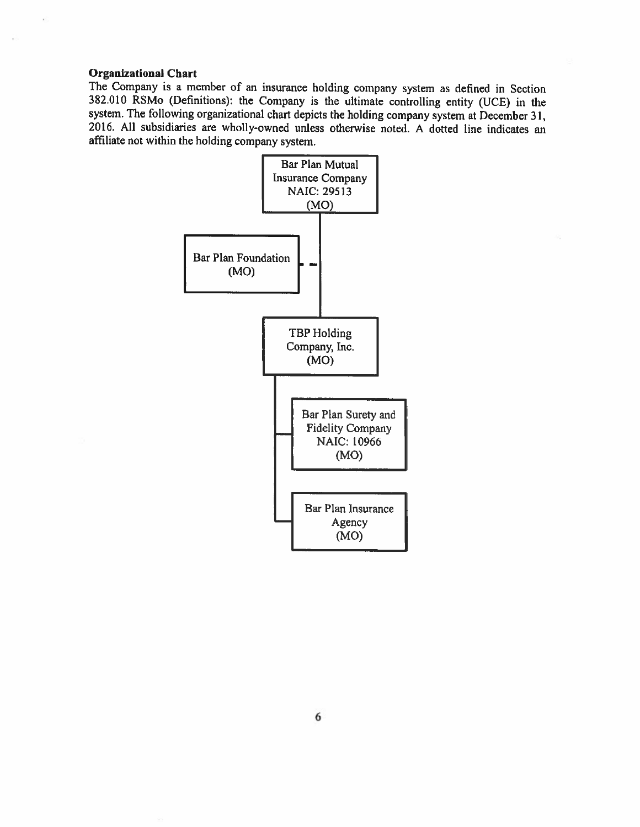#### Organizational Chart

The Company is <sup>a</sup> member of an insurance holding company system as defined in Section <sup>382010</sup> RSMo (Definitions): the Company is the ultimate controlling entity (UCE) in the system. The following organizational chart depicts the holding company system at December 31, 2016. All subsidiaries are wholly-owned unless otherwise noted. A dotted line indicates an affiliate not within the holding company system.

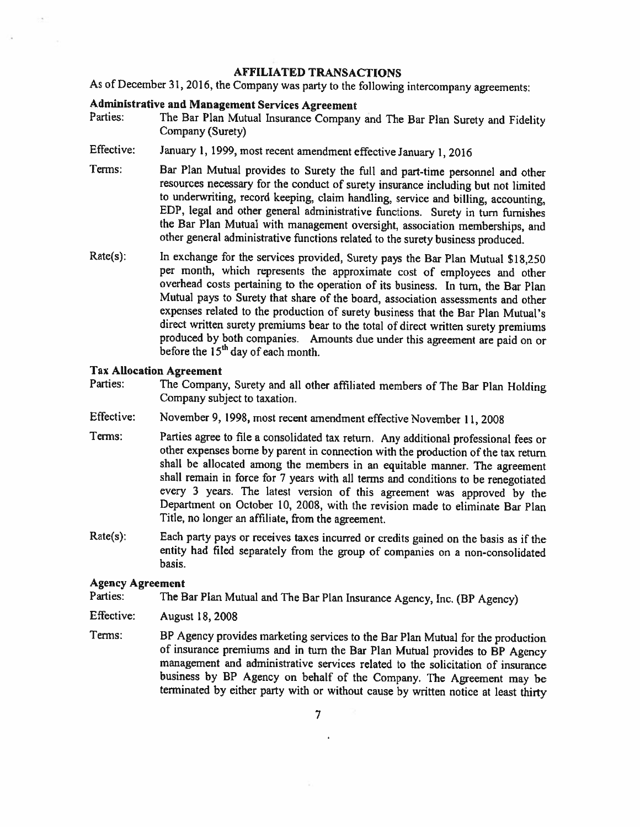#### AFFILIATED TRANSACTIONS

As of December 31, 2016, the Company was party to the following intercompany agreements:

# Administrative and Management Services Agreement<br>Parties: The Bar Plan Mutual Insurance Company

- The Bar Plan Mutual Insurance Company and The Bar Plan Surety and Fidelity Company (Surety)
- Effective: January 1, 1999, most recent amendment effective January 1, <sup>2016</sup>
- Terms: Bar Plan Mutual provides to Surety the full and part-time personnel and other resources necessary for the conduct of surety insurance including but not limited to underwriting, record keeping, claim handling, service and billing, accounting, EDP, legal and other general administrative functions. Surety in turn furnishes the Bar Plan Mutual with management oversight, association memberships, and other general administrative functions related to the surety business produced.
- Rate(s): In exchange for the services provided, Surety pays the Bar Plan Mutual \$18,250 per month, which represents the approximate cost of employees and other overhead costs pertaining to the operation of its business. In turn, the Bar Plan Mutual pays to Surety that share of the board, association assessments and other expenses related to the production of surety business that the Bar Plan Mutual's direct written surety premiums bear to the total of direct written surety premiums produced by both companies. Amounts due under this agreement are paid on or before the 15<sup>th</sup> day of each month.

# Tax Allocation Agreement

- Parties: The Company, Surety and all other affiliated members of The Bar Plan Holding Company subject to taxation.
- Effective: November 9, 1998, most recent amendment effective November 11, <sup>2008</sup>
- Terms: Parties agree to file <sup>a</sup> consolidated tax return. Any additional professional fees or other expenses borne by parent in connection with the production of the tax return shall be allocated among the members in an equitable manner. The agreement shall remain in force for <sup>7</sup> years with all terms and conditions to be renegotiated every <sup>3</sup> years. The latest version of this agreement was approved by the Department on October 10, 2008, with the revision made to eliminate Bar Plan Title, no longer an affiliate, from the agreement.
- Rate(s): Each party pays or receives taxes incurred or credits gained on the basis as if the entity had filed separately from the group of companies on <sup>a</sup> non-consolidated basis.

# Agency Agreement<br>Parties: The B

The Bar Plan Mutual and The Bar Plan Insurance Agency, Inc. (BP Agency)

- Effective: August 18, 2008
- Terms: BP Agency provides marketing services to the Bar Plan Mutual for the production of insurance premiums and in turn the Bar Plan Mutual provides to BP Agency management and administrative services related to the solicitation of insurance business by BP Agency on behalf of the Company. The Agreement may be terminated by either party with or without cause by written notice at least thirty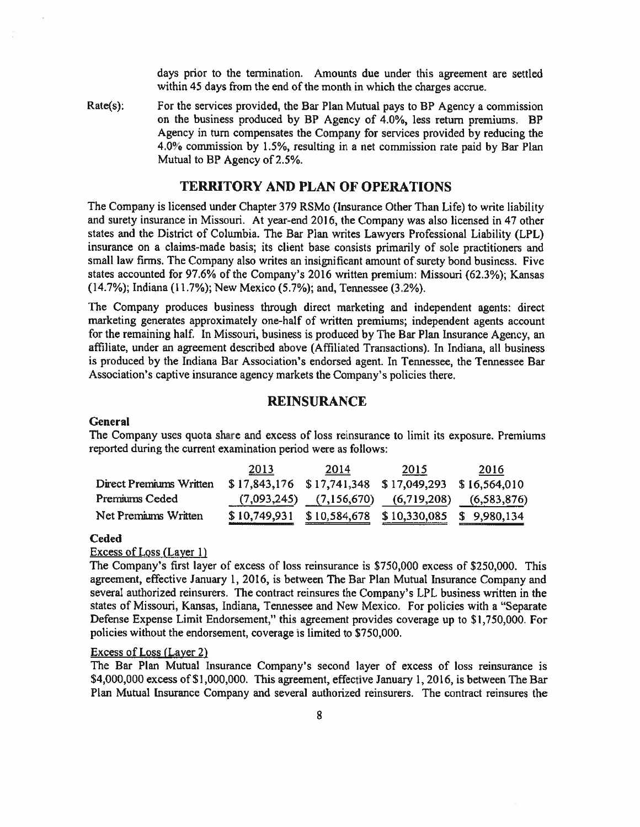days prior to the termination. Amounts due under this agreemen<sup>t</sup> are settled within 45 days from the end of the month in which the charges accrue.

Rate(s): For the services provided, the Bar Plan Mutual pays to BP Agency a commission on the business produced by BP Agency of 4.0%, less return premiums. BP Agency in turn compensates the Company for services provided by reducing the 4.0% commission by 1.5%, resulting in <sup>a</sup> net commission rate paid by Bar Plan Mutual to BP Agency of 2.5%.

# TERRITORY AND PLAN OF OPERATIONS

The Company is licensed under Chapter 379 RSMo (Insurance Other Than Life) to write liability and surety insurance in Missouri. At year-end 2016, the Company was also licensed in 47 other states and the District of Columbia. The Bar Plan writes Lawyers Professional Liability (LPL) insurance on <sup>a</sup> claims-made basis; its client base consists primarily of sole practitioners and small law firms. The Company also writes an insignificant amount of surety bond business. Five states accounted for 97.6% of the Company's 2016 written premium: Missouri (62.3%); Kansas (14.7%); Indiana (11.7%); New Mexico (5.7%); and, Tennessee (3.2%).

The Company produces business through direct marketing and independent agents: direct marketing generates approximately one-half of written premiums; independent agents account for the remaining half. In Missouri, business is produced by The Bar Plan Insurance Agency, an affiliate, under an agreemen<sup>t</sup> described above (Affiliated Transactions). In Indiana, all business is produced by the Indiana Bar Association's endorsed agent. In Tennessee, the Tennessee Bar Association's captive insurance agency markets the Company's policies there.

# REINSURANCE

#### **General**

The Company uses quota share and excess of loss reinsurance to limit its exposure. Premiums reported during the current examination period were as follows:

|                         | 2013 | 2014 | 2015                                                    | 2016 |
|-------------------------|------|------|---------------------------------------------------------|------|
| Direct Premiums Written |      |      | $$17,843,176$ $$17,741,348$ $$17,049,293$ $$16,564,010$ |      |
| Premiums Ceded          |      |      | $(7,093,245)$ $(7,156,670)$ $(6,719,208)$ $(6,583,876)$ |      |
| Net Premiums Written    |      |      | $$10,749,931$ $$10,584,678$ $$10,330,085$ $$9,980,134$  |      |

#### Ceded

#### Excess of Loss (Layer 1)

The Company's first layer of excess of loss reinsurance is \$750,000 excess of \$250,000. This agreement, effective January 1, 2016, is between The Bar Plan Mutual Insurance Company and several authorized reinsurers. The contract reinsures the Company's LPL business written in the states of Missouri, Kansas, Indiana, Tennessee and New Mexico. For policies with <sup>a</sup> "Separate Defense Expense Limit Endorsement," this agreemen<sup>t</sup> provides coverage up to \$1,750,000. For policies without the endorsement, coverage is limited to \$750,000.

#### Excess of Loss (Layer 2)

The Bar Plan Mutual Insurance Company's second layer of excess of loss reinsurance is \$4,000,000 excess of \$1,000,000. This agreement, effective January 1, 2016, is between The Bar Plan Mutual Insurance Company and several authorized reinsurers. The contract reinsures the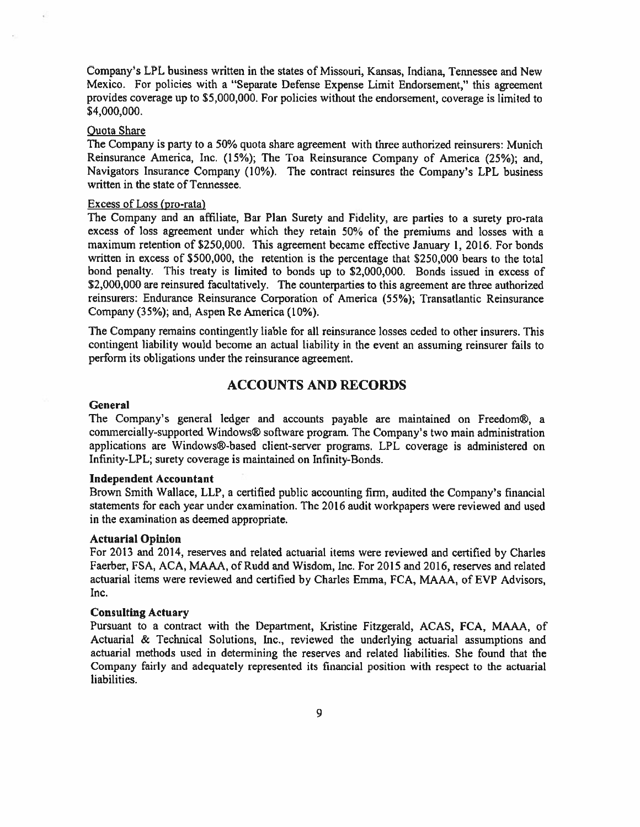Company's LPL business written in the states of Missouri, Kansas, Indiana, Termessee and New Mexico. For policies with <sup>a</sup> "Separate Defense Expense Limit Endorsement," this agreemen<sup>t</sup> provides coverage up to \$5,000,000. For policies without the endorsement, coverage is limited to \$4,000,000.

#### Quota Share

The Company is party to <sup>a</sup> 50% quota share agreemen<sup>t</sup> with three authorized reinsurers: Munich Reinsurance America, Inc. (15%); The Toa Reinsurance Company of America (25%); and, Navigators Insurance Company (10%). The contract reinsures the Company's LPL business written in the state of Tennessee.

#### Excess of Loss (pro-rata)

The Company and an affiliate, Bar Plan Surety and Fidelity, are parties to <sup>a</sup> surety pro-rata excess of loss agreemen<sup>t</sup> under which they retain 50% of the premiums and losses with <sup>a</sup> maximum retention of \$250,000. This agreemen<sup>t</sup> became effective January 1, 2016. For bonds written in excess of \$500,000, the retention is the percentage that \$250,000 bears to the total bond penalty. This treaty is limited to bonds up to \$2,000,000. Bonds issued in excess of \$2,000,000 are reinsured facultatively. The counterparties to this agreement are three authorized reinsurers: Endurance Reinsurance Corporation of America (55%); Transatlantic Reinsurance Company (35%); and, Aspen Re America (10%).

The Company remains contingently liable for all reinsurance losses ceded to other insurers, This contingent liability would become an actual liability in the event an assuming reinsurer fails to perform its obligations under the reinsurance agreement.

# ACCOUNTS AND RECORDS

#### **General**

The Company's general ledger and accounts payable are maintained on Freedom®, <sup>a</sup> commercially-supported Windows® sofiware program. The Company's two main administration applications are Windows®-based client-server programs. LPL coverage is administered on Infinity-LPL; surety coverage is maintained on Infinity-Bonds.

#### Independent Accountant

Brown Smith Wallace, LLP, <sup>a</sup> certified public accounting firm, audited the Company's financial statements for each year under examination. The 2016 audit workpapers were reviewed and used in the examination as deemed appropriate,

#### Actuarial Opinion

For <sup>2013</sup> and 2014, reserves and related actuarial items were reviewed and certified by Charles Faerber, FSA, ACA, MAAA, of Rudd and Wisdom, Inc. For 2015 and 2016, reserves and related actuarial items were reviewed and certified by Charles Emma, FCA, MAAA. of EVP Advisors, Inc.

#### Consulting Actuary

Pursuant to <sup>a</sup> contract with the Department, Kristine Fitzgerald, ACAS. FCA. MAAA, of Actuarial & Technical Solutions, Inc., reviewed the underlying actuarial assumptions and actuarial methods used in determining the reserves and related liabilities. She found that the Company fairly and adequately represented its financial position with respec<sup>t</sup> to the actuarial liabilities.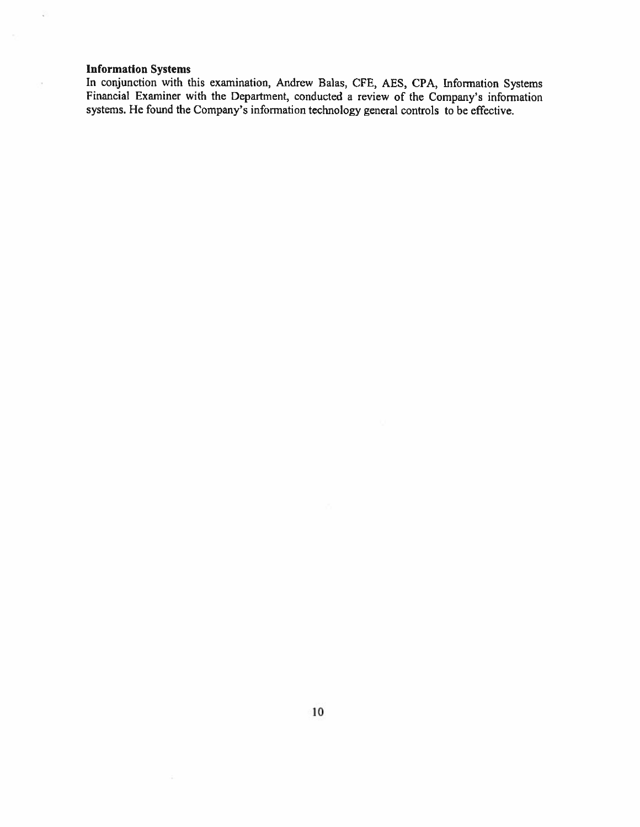# Information Systems

ş.

 $\bar{\phantom{a}}$ 

In conjunction with this examination, Andrew Balas, CFE, AES, CPA, Information Systems Financial Examiner with the Department, conducted <sup>a</sup> review of the Company's information systems. He found the Company's information technology general controls to be effective.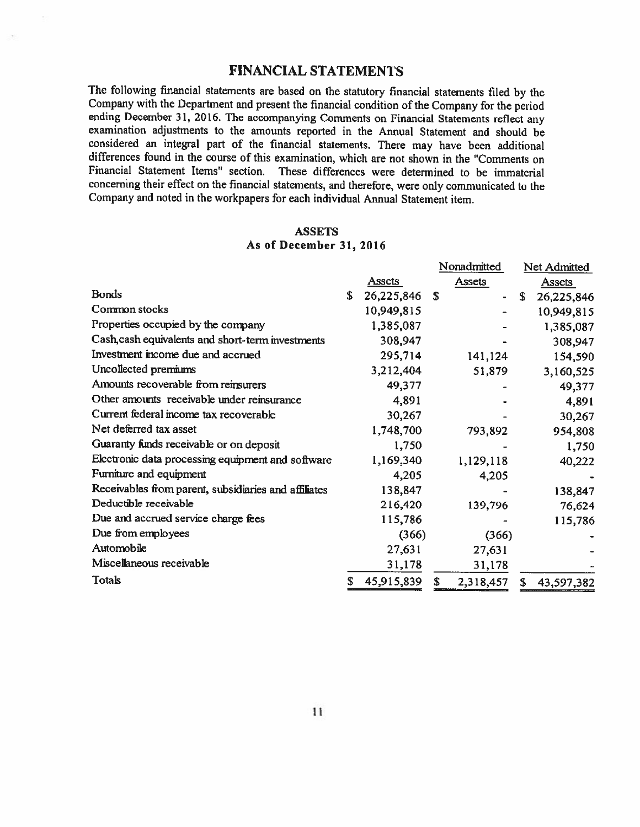# FINANCIAL STATEMENTS

The following financial statements are based on the statutory financial statements filed by the Company with the Department and present the financial condition of the Company for the period ending December 31, 2016. The accompanying Comments on Financial Statements reflect any examination adjustments to the amounts reported in the Annual Statement and should be considered an integral part of the financial statements. There may have been additional differences found in the course of this examination, which are not shown in the "Comments on Financial Statement Items" section. These differences were determined to be immaterial concerning their effect on the financial statements, and therefore, were only communicated to the Company and noted in the workpapers for each individual Annual Statement item.

# **ASSETS** As of December 31, 2016

|                                                      |   |               |    | Nonadmitted   | Net Admitted     |
|------------------------------------------------------|---|---------------|----|---------------|------------------|
|                                                      |   | <b>Assets</b> |    | <b>Assets</b> | <b>Assets</b>    |
| <b>Bonds</b>                                         | S | 26,225,846    | \$ |               | \$<br>26,225,846 |
| Common stocks                                        |   | 10,949,815    |    |               | 10,949,815       |
| Properties occupied by the company                   |   | 1,385,087     |    |               | 1,385,087        |
| Cash, cash equivalents and short-term investments    |   | 308,947       |    |               | 308,947          |
| Investment income due and accrued                    |   | 295,714       |    | 141,124       | 154,590          |
| Uncollected premiums                                 |   | 3,212,404     |    | 51,879        | 3,160,525        |
| Amounts recoverable from reinsurers                  |   | 49,377        |    |               | 49,377           |
| Other amounts receivable under reinsurance           |   | 4,891         |    |               | 4,891            |
| Current federal income tax recoverable               |   | 30,267        |    |               | 30,267           |
| Net deferred tax asset                               |   | 1,748,700     |    | 793,892       | 954,808          |
| Guaranty funds receivable or on deposit              |   | 1,750         |    |               | 1,750            |
| Electronic data processing equipment and software    |   | 1,169,340     |    | 1,129,118     | 40,222           |
| Furniture and equipment                              |   | 4,205         |    | 4,205         |                  |
| Receivables from parent, subsidiaries and affiliates |   | 138,847       |    |               | 138,847          |
| Deductible receivable                                |   | 216,420       |    | 139,796       | 76,624           |
| Due and accrued service charge fees                  |   | 115,786       |    |               | 115,786          |
| Due from employees                                   |   | (366)         |    | (366)         |                  |
| Automobile                                           |   | 27,631        |    | 27,631        |                  |
| Miscellaneous receivable                             |   | 31,178        |    | 31,178        |                  |
| <b>Totals</b>                                        | S | 45,915,839    | S  | 2,318,457     | \$<br>43,597,382 |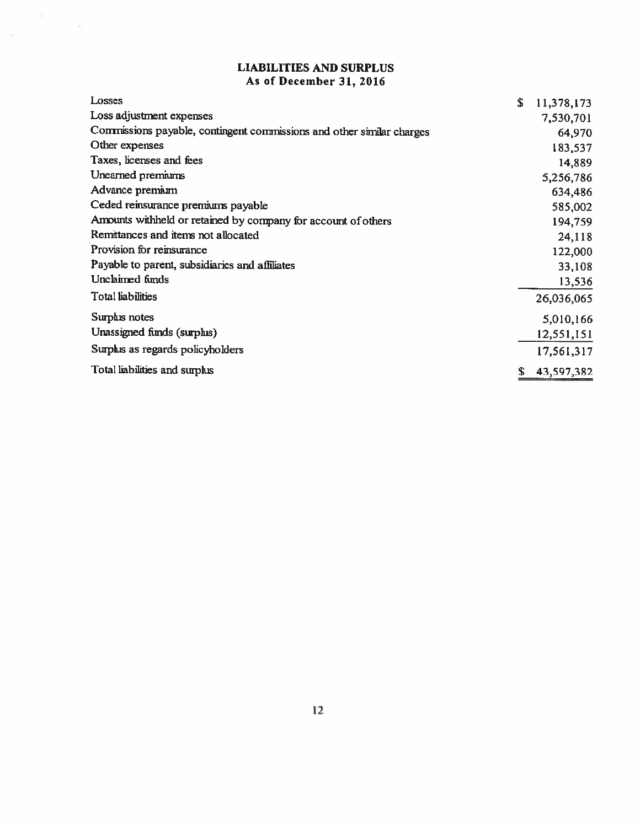# LIABILITIES AND SURPLUS As of December 31, 2016

 $\frac{a}{c}$  ,  $\frac{c}{c}$ 

 $\sim$ 

| Losses                                                                | \$<br>11,378,173 |
|-----------------------------------------------------------------------|------------------|
| Loss adjustment expenses                                              | 7,530,701        |
| Commissions payable, contingent commissions and other similar charges | 64,970           |
| Other expenses                                                        | 183,537          |
| Taxes, licenses and fees                                              | 14,889           |
| Unearned premiums                                                     | 5,256,786        |
| Advance premium                                                       | 634,486          |
| Ceded reinsurance premiums payable                                    | 585,002          |
| Amounts withheld or retained by company for account of others         | 194,759          |
| Remittances and items not allocated                                   | 24,118           |
| Provision for reinsurance                                             | 122,000          |
| Payable to parent, subsidiaries and affiliates                        | 33,108           |
| Unclaimed funds                                                       | 13,536           |
| <b>Total liabilities</b>                                              | 26,036,065       |
| Surplus notes                                                         | 5,010,166        |
| Unassigned funds (surplus)                                            | 12,551,151       |
| Surplus as regards policyholders                                      | 17,561,317       |
| Total liabilities and surplus                                         | \$<br>43,597,382 |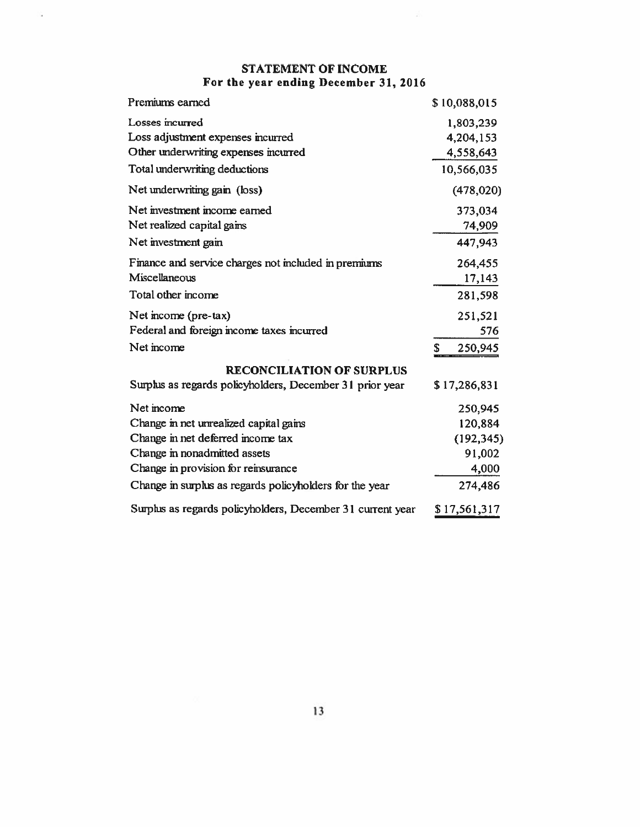# STATEMENT OF INCOME For the year ending December 31, 2016

S,

 $\mathbb{R}^n$ 

| Premiums earned                                            | \$10,088,015 |
|------------------------------------------------------------|--------------|
| Losses incurred                                            | 1,803,239    |
| Loss adjustment expenses incurred                          | 4,204,153    |
| Other underwriting expenses incurred                       | 4,558,643    |
| Total underwriting deductions                              | 10,566,035   |
| Net underwriting gain (loss)                               | (478, 020)   |
| Net investment income earned                               | 373,034      |
| Net realized capital gains                                 | 74,909       |
| Net investment gain                                        | 447,943      |
| Finance and service charges not included in premiums       | 264,455      |
| Miscellaneous                                              | 17,143       |
| Total other income                                         | 281,598      |
| Net income (pre-tax)                                       | 251,521      |
| Federal and foreign income taxes incurred                  | 576          |
| Net income                                                 | 250,945<br>S |
| <b>RECONCILIATION OF SURPLUS</b>                           |              |
| Surplus as regards policyholders, December 31 prior year   | \$17,286,831 |
| Net income                                                 | 250,945      |
| Change in net unrealized capital gains                     | 120,884      |
| Change in net deferred income tax                          | (192, 345)   |
| Change in nonadmitted assets                               | 91,002       |
| Change in provision for reinsurance                        | 4,000        |
| Change in surplus as regards policyholders for the year    | 274,486      |
| Surplus as regards policyholders, December 31 current year | \$17,561,317 |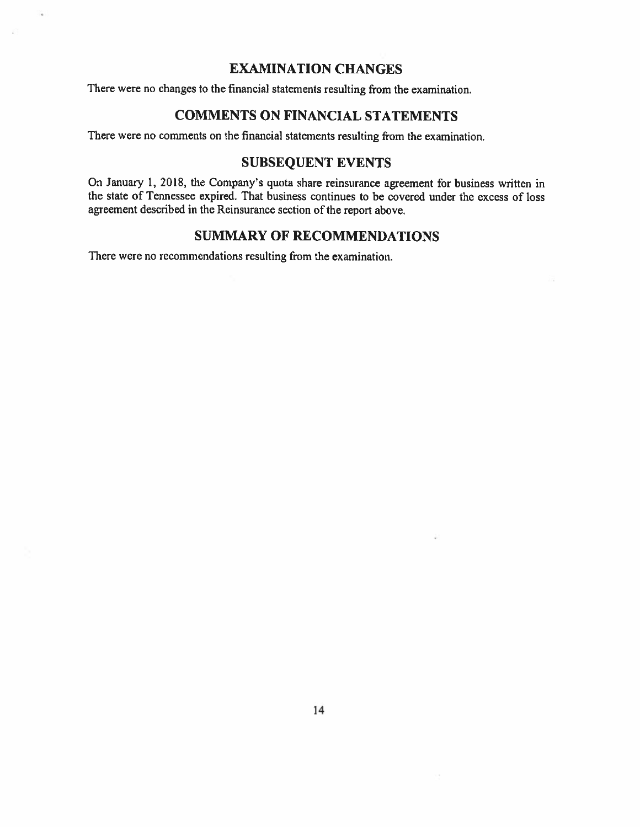# EXAMINATION CHANGES

There were no changes to the financial statements resulting from the examination.

# COMMENTS ON FINANCIAL STATEMENTS

There were no comments on the financial statements resulting from the examination.

# SUBSEQUENT EVENTS

On January 1, 2018, the Company's quota share reinsurance agreemen<sup>t</sup> for business written in the state of Tennessee expired. That business continues to be covered under the excess of loss agreemen<sup>t</sup> described in the Reinsurance section of the repor<sup>t</sup> above.

# SUMMARY OF RECOMMENDATIONS

There were no recommendations resulting from the examination.

×